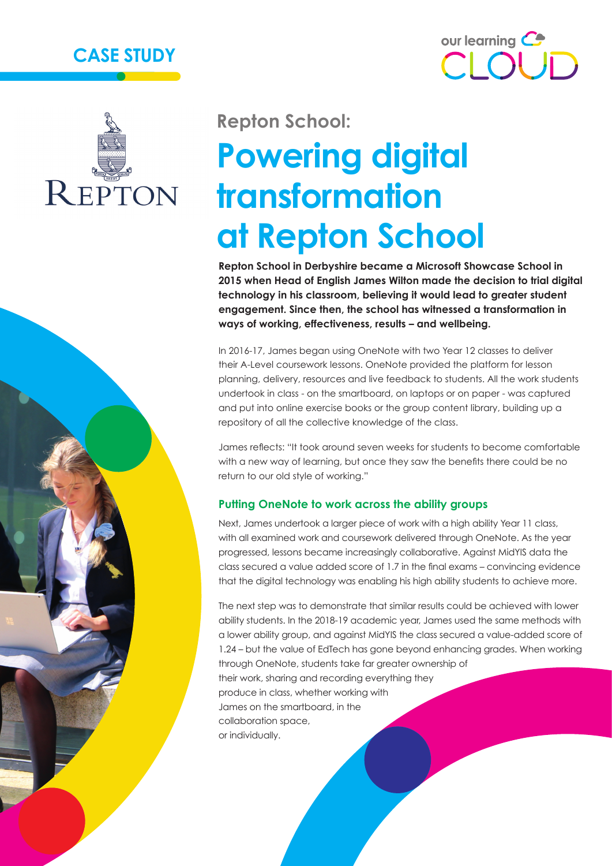





# **Repton School: Powering digital transformation at Repton School**

**Repton School in Derbyshire became a Microsoft Showcase School in 2015 when Head of English James Wilton made the decision to trial digital technology in his classroom, believing it would lead to greater student engagement. Since then, the school has witnessed a transformation in ways of working, effectiveness, results – and wellbeing.**

In 2016-17, James began using OneNote with two Year 12 classes to deliver their A-Level coursework lessons. OneNote provided the platform for lesson planning, delivery, resources and live feedback to students. All the work students undertook in class - on the smartboard, on laptops or on paper - was captured and put into online exercise books or the group content library, building up a repository of all the collective knowledge of the class.

James reflects: "It took around seven weeks for students to become comfortable with a new way of learning, but once they saw the benefits there could be no return to our old style of working."

#### **Putting OneNote to work across the ability groups**

Next, James undertook a larger piece of work with a high ability Year 11 class, with all examined work and coursework delivered through OneNote. As the year progressed, lessons became increasingly collaborative. Against MidYIS data the class secured a value added score of 1.7 in the final exams – convincing evidence that the digital technology was enabling his high ability students to achieve more.

The next step was to demonstrate that similar results could be achieved with lower ability students. In the 2018-19 academic year, James used the same methods with a lower ability group, and against MidYIS the class secured a value-added score of 1.24 – but the value of EdTech has gone beyond enhancing grades. When working through OneNote, students take far greater ownership of their work, sharing and recording everything they produce in class, whether working with James on the smartboard, in the collaboration space, or individually.